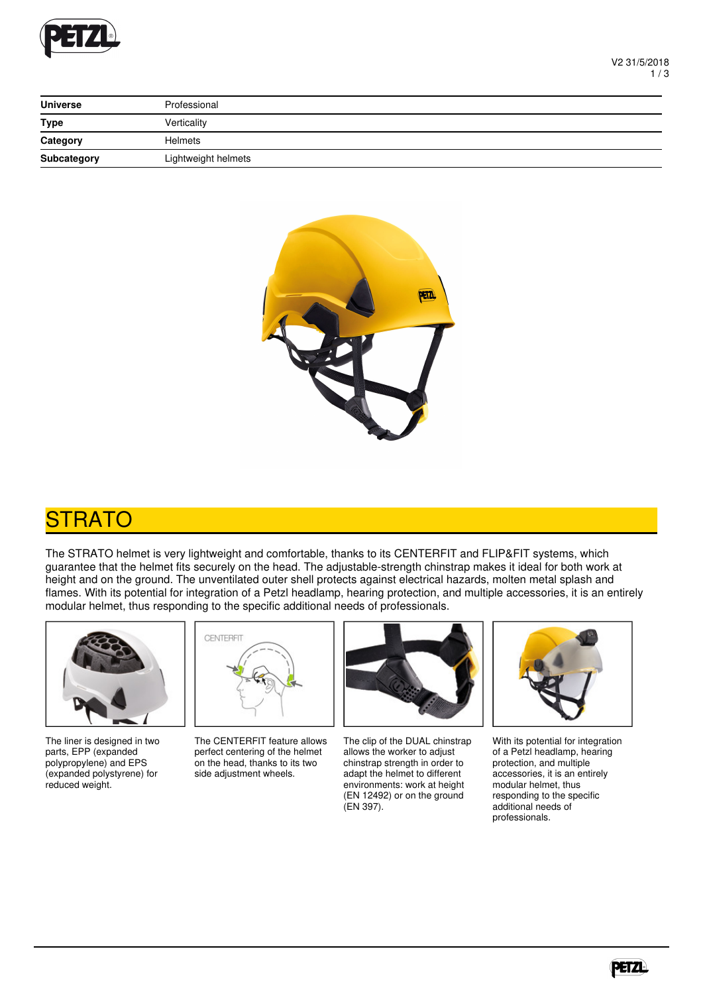

| <b>Universe</b> | Professional        |
|-----------------|---------------------|
| <b>Type</b>     | Verticality         |
| Category        | <b>Helmets</b>      |
| Subcategory     | Lightweight helmets |



## **STRATO**

The STRATO helmet is very lightweight and comfortable, thanks to its CENTERFIT and FLIP&FIT systems, which guarantee that the helmet fits securely on the head. The adjustable-strength chinstrap makes it ideal for both work at height and on the ground. The unventilated outer shell protects against electrical hazards, molten metal splash and flames. With its potential for integration of a Petzl headlamp, hearing protection, and multiple accessories, it is an entirely modular helmet, thus responding to the specific additional needs of professionals.



The liner is designed in two parts, EPP (expanded polypropylene) and EPS (expanded polystyrene) for reduced weight.



The CENTERFIT feature allows perfect centering of the helmet on the head, thanks to its two side adjustment wheels.



The clip of the DUAL chinstrap allows the worker to adjust chinstrap strength in order to adapt the helmet to different environments: work at height (EN 12492) or on the ground (EN 397).



With its potential for integration of a Petzl headlamp, hearing protection, and multiple accessories, it is an entirely modular helmet, thus responding to the specific additional needs of professionals.

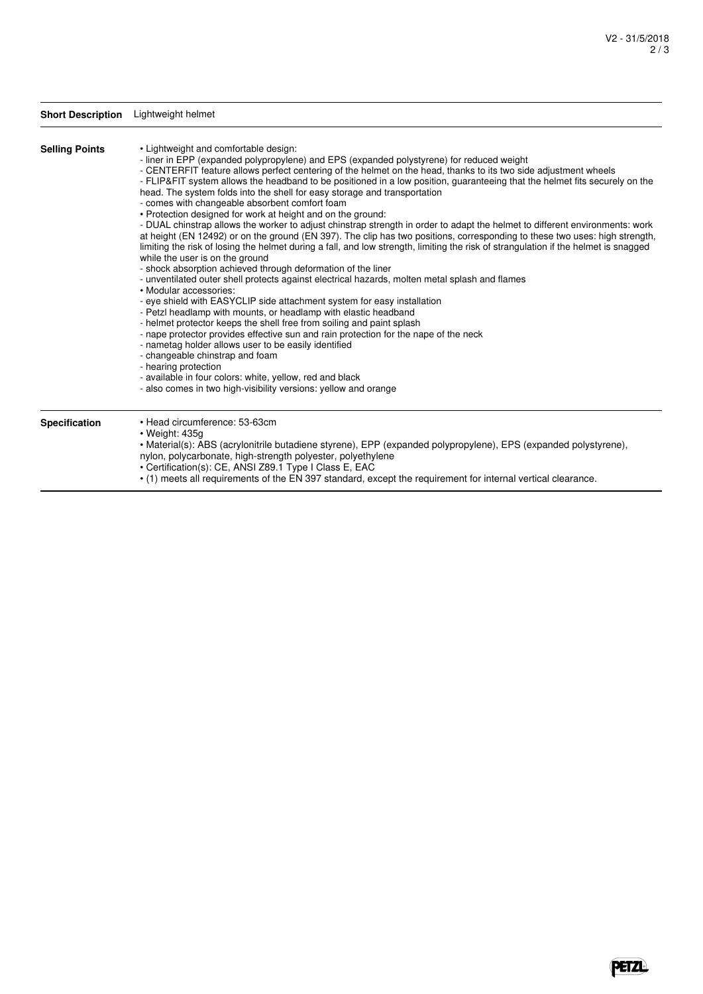|                       | Short Description Lightweight helmet                                                                                                                                                                                                                                                                                                                                                                                                                                                                                                                                                                                                                                                                                                                                                                                                                                                                                                                                                                                                                                                                                                                                                                                                                                                                                                                                                                                                                                                                                                                                                                                                                                                                                                                                                      |  |  |  |  |
|-----------------------|-------------------------------------------------------------------------------------------------------------------------------------------------------------------------------------------------------------------------------------------------------------------------------------------------------------------------------------------------------------------------------------------------------------------------------------------------------------------------------------------------------------------------------------------------------------------------------------------------------------------------------------------------------------------------------------------------------------------------------------------------------------------------------------------------------------------------------------------------------------------------------------------------------------------------------------------------------------------------------------------------------------------------------------------------------------------------------------------------------------------------------------------------------------------------------------------------------------------------------------------------------------------------------------------------------------------------------------------------------------------------------------------------------------------------------------------------------------------------------------------------------------------------------------------------------------------------------------------------------------------------------------------------------------------------------------------------------------------------------------------------------------------------------------------|--|--|--|--|
| <b>Selling Points</b> | • Lightweight and comfortable design:<br>- liner in EPP (expanded polypropylene) and EPS (expanded polystyrene) for reduced weight<br>- CENTERFIT feature allows perfect centering of the helmet on the head, thanks to its two side adjustment wheels<br>- FLIP&FIT system allows the headband to be positioned in a low position, guaranteeing that the helmet fits securely on the<br>head. The system folds into the shell for easy storage and transportation<br>- comes with changeable absorbent comfort foam<br>• Protection designed for work at height and on the ground:<br>- DUAL chinstrap allows the worker to adjust chinstrap strength in order to adapt the helmet to different environments: work<br>at height (EN 12492) or on the ground (EN 397). The clip has two positions, corresponding to these two uses: high strength,<br>limiting the risk of losing the helmet during a fall, and low strength, limiting the risk of strangulation if the helmet is snagged<br>while the user is on the ground<br>- shock absorption achieved through deformation of the liner<br>- unventilated outer shell protects against electrical hazards, molten metal splash and flames<br>• Modular accessories:<br>- eye shield with EASYCLIP side attachment system for easy installation<br>- Petzl headlamp with mounts, or headlamp with elastic headband<br>- helmet protector keeps the shell free from soiling and paint splash<br>- nape protector provides effective sun and rain protection for the nape of the neck<br>- nametag holder allows user to be easily identified<br>- changeable chinstrap and foam<br>- hearing protection<br>- available in four colors: white, yellow, red and black<br>- also comes in two high-visibility versions: yellow and orange |  |  |  |  |
| Specification         | • Head circumference: 53-63cm<br>$\cdot$ Weight: 435g<br>• Material(s): ABS (acrylonitrile butadiene styrene), EPP (expanded polypropylene), EPS (expanded polystyrene),<br>nylon, polycarbonate, high-strength polyester, polyethylene<br>• Certification(s): CE, ANSI Z89.1 Type I Class E, EAC                                                                                                                                                                                                                                                                                                                                                                                                                                                                                                                                                                                                                                                                                                                                                                                                                                                                                                                                                                                                                                                                                                                                                                                                                                                                                                                                                                                                                                                                                         |  |  |  |  |

• (1) meets all requirements of the EN 397 standard, except the requirement for internal vertical clearance.